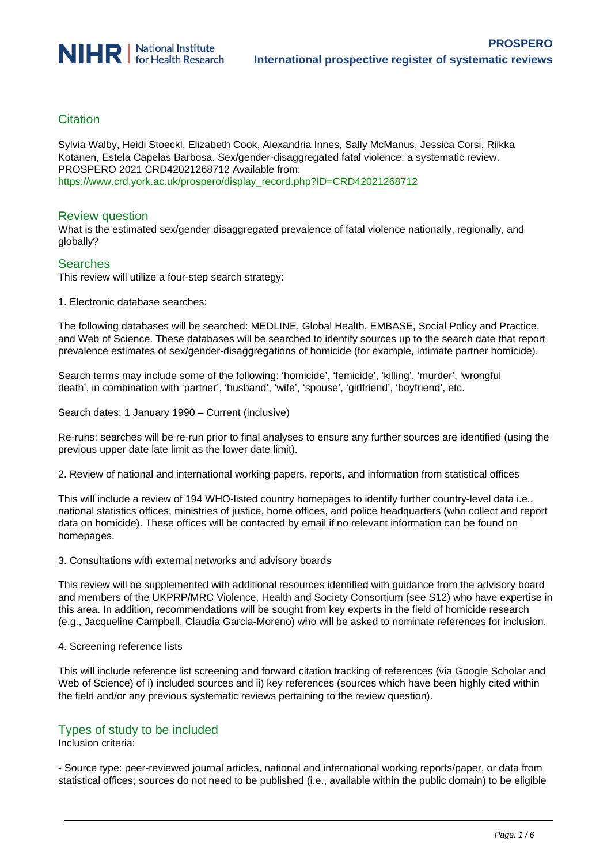# **Citation**

Sylvia Walby, Heidi Stoeckl, Elizabeth Cook, Alexandria Innes, Sally McManus, Jessica Corsi, Riikka Kotanen, Estela Capelas Barbosa. Sex/gender-disaggregated fatal violence: a systematic review. PROSPERO 2021 CRD42021268712 Available from: [https://www.crd.york.ac.uk/prospero/display\\_record.php?ID=CRD42021268712](https://www.crd.york.ac.uk/prospero/display_record.php?ID=CRD42021268712)

# Review question

What is the estimated sex/gender disaggregated prevalence of fatal violence nationally, regionally, and globally?

# **Searches**

This review will utilize a four-step search strategy:

1. Electronic database searches:

The following databases will be searched: MEDLINE, Global Health, EMBASE, Social Policy and Practice, and Web of Science. These databases will be searched to identify sources up to the search date that report prevalence estimates of sex/gender-disaggregations of homicide (for example, intimate partner homicide).

Search terms may include some of the following: 'homicide', 'femicide', 'killing', 'murder', 'wrongful death', in combination with 'partner', 'husband', 'wife', 'spouse', 'girlfriend', 'boyfriend', etc.

Search dates: 1 January 1990 – Current (inclusive)

Re-runs: searches will be re-run prior to final analyses to ensure any further sources are identified (using the previous upper date late limit as the lower date limit).

2. Review of national and international working papers, reports, and information from statistical offices

This will include a review of 194 WHO-listed country homepages to identify further country-level data i.e., national statistics offices, ministries of justice, home offices, and police headquarters (who collect and report data on homicide). These offices will be contacted by email if no relevant information can be found on homepages.

3. Consultations with external networks and advisory boards

This review will be supplemented with additional resources identified with guidance from the advisory board and members of the UKPRP/MRC Violence, Health and Society Consortium (see S12) who have expertise in this area. In addition, recommendations will be sought from key experts in the field of homicide research (e.g., Jacqueline Campbell, Claudia Garcia-Moreno) who will be asked to nominate references for inclusion.

#### 4. Screening reference lists

This will include reference list screening and forward citation tracking of references (via Google Scholar and Web of Science) of i) included sources and ii) key references (sources which have been highly cited within the field and/or any previous systematic reviews pertaining to the review question).

# Types of study to be included

Inclusion criteria:

- Source type: peer-reviewed journal articles, national and international working reports/paper, or data from statistical offices; sources do not need to be published (i.e., available within the public domain) to be eligible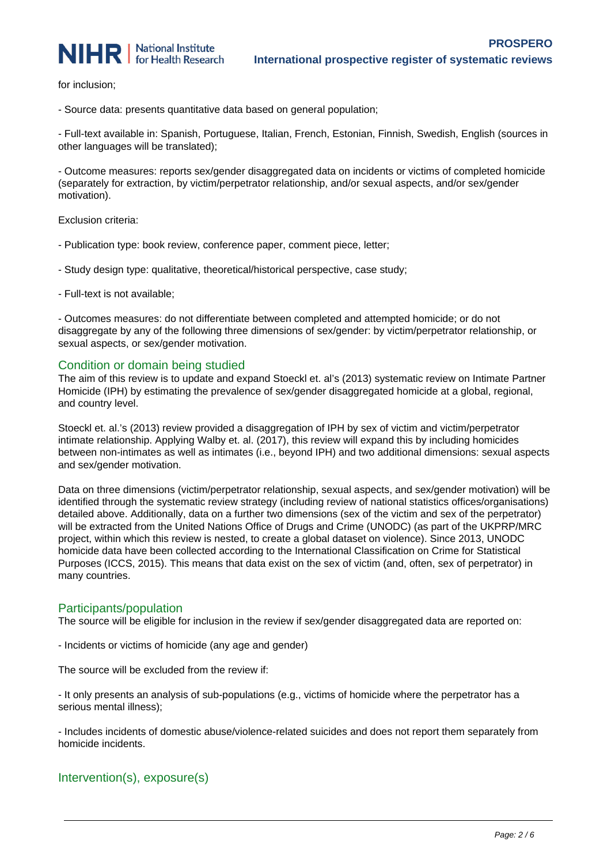

for inclusion;

- Source data: presents quantitative data based on general population;

- Full-text available in: Spanish, Portuguese, Italian, French, Estonian, Finnish, Swedish, English (sources in other languages will be translated);

- Outcome measures: reports sex/gender disaggregated data on incidents or victims of completed homicide (separately for extraction, by victim/perpetrator relationship, and/or sexual aspects, and/or sex/gender motivation).

Exclusion criteria:

- Publication type: book review, conference paper, comment piece, letter;
- Study design type: qualitative, theoretical/historical perspective, case study;
- Full-text is not available;

- Outcomes measures: do not differentiate between completed and attempted homicide; or do not disaggregate by any of the following three dimensions of sex/gender: by victim/perpetrator relationship, or sexual aspects, or sex/gender motivation.

# Condition or domain being studied

The aim of this review is to update and expand Stoeckl et. al's (2013) systematic review on Intimate Partner Homicide (IPH) by estimating the prevalence of sex/gender disaggregated homicide at a global, regional, and country level.

Stoeckl et. al.'s (2013) review provided a disaggregation of IPH by sex of victim and victim/perpetrator intimate relationship. Applying Walby et. al. (2017), this review will expand this by including homicides between non-intimates as well as intimates (i.e., beyond IPH) and two additional dimensions: sexual aspects and sex/gender motivation.

Data on three dimensions (victim/perpetrator relationship, sexual aspects, and sex/gender motivation) will be identified through the systematic review strategy (including review of national statistics offices/organisations) detailed above. Additionally, data on a further two dimensions (sex of the victim and sex of the perpetrator) will be extracted from the United Nations Office of Drugs and Crime (UNODC) (as part of the UKPRP/MRC project, within which this review is nested, to create a global dataset on violence). Since 2013, UNODC homicide data have been collected according to the International Classification on Crime for Statistical Purposes (ICCS, 2015). This means that data exist on the sex of victim (and, often, sex of perpetrator) in many countries.

# Participants/population

The source will be eligible for inclusion in the review if sex/gender disaggregated data are reported on:

- Incidents or victims of homicide (any age and gender)

The source will be excluded from the review if:

- It only presents an analysis of sub-populations (e.g., victims of homicide where the perpetrator has a serious mental illness);

- Includes incidents of domestic abuse/violence-related suicides and does not report them separately from homicide incidents.

# Intervention(s), exposure(s)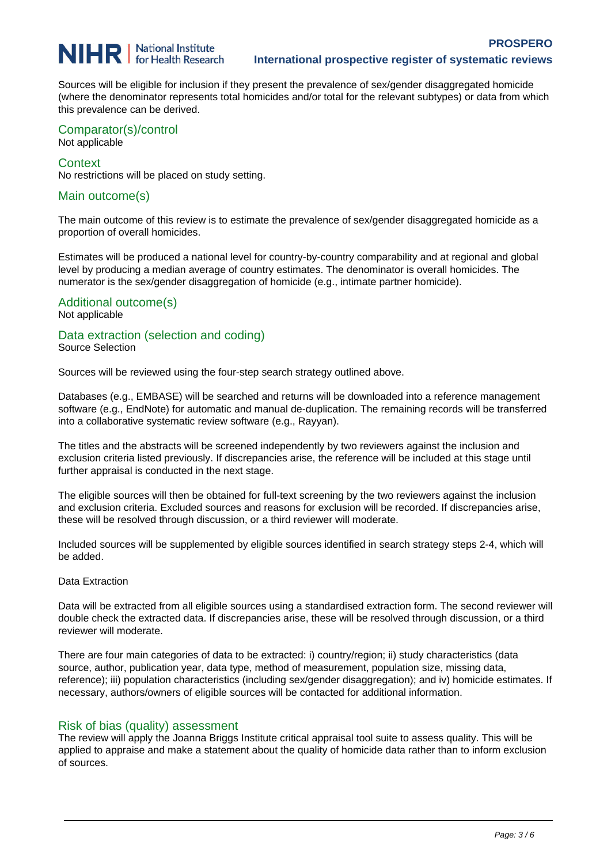# **NIHR** | National Institute for Health Research

Sources will be eligible for inclusion if they present the prevalence of sex/gender disaggregated homicide (where the denominator represents total homicides and/or total for the relevant subtypes) or data from which this prevalence can be derived.

#### Comparator(s)/control Not applicable

#### **Context**

No restrictions will be placed on study setting.

# Main outcome(s)

The main outcome of this review is to estimate the prevalence of sex/gender disaggregated homicide as a proportion of overall homicides.

Estimates will be produced a national level for country-by-country comparability and at regional and global level by producing a median average of country estimates. The denominator is overall homicides. The numerator is the sex/gender disaggregation of homicide (e.g., intimate partner homicide).

# Additional outcome(s)

# Not applicable

# Data extraction (selection and coding)

Source Selection

Sources will be reviewed using the four-step search strategy outlined above.

Databases (e.g., EMBASE) will be searched and returns will be downloaded into a reference management software (e.g., EndNote) for automatic and manual de-duplication. The remaining records will be transferred into a collaborative systematic review software (e.g., Rayyan).

The titles and the abstracts will be screened independently by two reviewers against the inclusion and exclusion criteria listed previously. If discrepancies arise, the reference will be included at this stage until further appraisal is conducted in the next stage.

The eligible sources will then be obtained for full-text screening by the two reviewers against the inclusion and exclusion criteria. Excluded sources and reasons for exclusion will be recorded. If discrepancies arise, these will be resolved through discussion, or a third reviewer will moderate.

Included sources will be supplemented by eligible sources identified in search strategy steps 2-4, which will be added.

# Data Extraction

Data will be extracted from all eligible sources using a standardised extraction form. The second reviewer will double check the extracted data. If discrepancies arise, these will be resolved through discussion, or a third reviewer will moderate.

There are four main categories of data to be extracted: i) country/region; ii) study characteristics (data source, author, publication year, data type, method of measurement, population size, missing data, reference); iii) population characteristics (including sex/gender disaggregation); and iv) homicide estimates. If necessary, authors/owners of eligible sources will be contacted for additional information.

# Risk of bias (quality) assessment

The review will apply the Joanna Briggs Institute critical appraisal tool suite to assess quality. This will be applied to appraise and make a statement about the quality of homicide data rather than to inform exclusion of sources.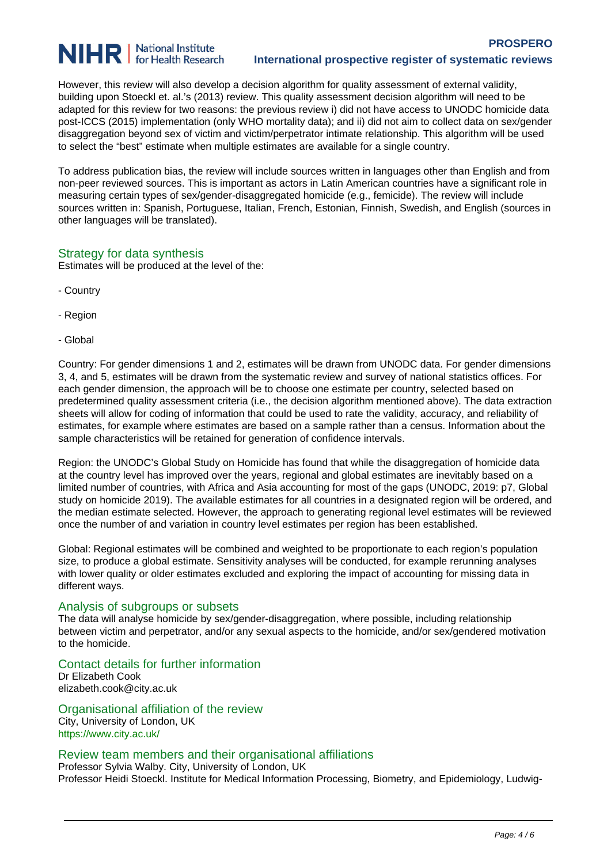# **NIHR** | National Institute

However, this review will also develop a decision algorithm for quality assessment of external validity, building upon Stoeckl et. al.'s (2013) review. This quality assessment decision algorithm will need to be adapted for this review for two reasons: the previous review i) did not have access to UNODC homicide data post-ICCS (2015) implementation (only WHO mortality data); and ii) did not aim to collect data on sex/gender disaggregation beyond sex of victim and victim/perpetrator intimate relationship. This algorithm will be used to select the "best" estimate when multiple estimates are available for a single country.

To address publication bias, the review will include sources written in languages other than English and from non-peer reviewed sources. This is important as actors in Latin American countries have a significant role in measuring certain types of sex/gender-disaggregated homicide (e.g., femicide). The review will include sources written in: Spanish, Portuguese, Italian, French, Estonian, Finnish, Swedish, and English (sources in other languages will be translated).

# Strategy for data synthesis

Estimates will be produced at the level of the:

- Country
- Region
- Global

Country: For gender dimensions 1 and 2, estimates will be drawn from UNODC data. For gender dimensions 3, 4, and 5, estimates will be drawn from the systematic review and survey of national statistics offices. For each gender dimension, the approach will be to choose one estimate per country, selected based on predetermined quality assessment criteria (i.e., the decision algorithm mentioned above). The data extraction sheets will allow for coding of information that could be used to rate the validity, accuracy, and reliability of estimates, for example where estimates are based on a sample rather than a census. Information about the sample characteristics will be retained for generation of confidence intervals.

Region: the UNODC's Global Study on Homicide has found that while the disaggregation of homicide data at the country level has improved over the years, regional and global estimates are inevitably based on a limited number of countries, with Africa and Asia accounting for most of the gaps (UNODC, 2019: p7, Global study on homicide 2019). The available estimates for all countries in a designated region will be ordered, and the median estimate selected. However, the approach to generating regional level estimates will be reviewed once the number of and variation in country level estimates per region has been established.

Global: Regional estimates will be combined and weighted to be proportionate to each region's population size, to produce a global estimate. Sensitivity analyses will be conducted, for example rerunning analyses with lower quality or older estimates excluded and exploring the impact of accounting for missing data in different ways.

# Analysis of subgroups or subsets

The data will analyse homicide by sex/gender-disaggregation, where possible, including relationship between victim and perpetrator, and/or any sexual aspects to the homicide, and/or sex/gendered motivation to the homicide.

# Contact details for further information

Dr Elizabeth Cook elizabeth.cook@city.ac.uk

Organisational affiliation of the review City, University of London, UK https://www.city.ac.uk/

# Review team members and their organisational affiliations

Professor Sylvia Walby. City, University of London, UK Professor Heidi Stoeckl. Institute for Medical Information Processing, Biometry, and Epidemiology, Ludwig-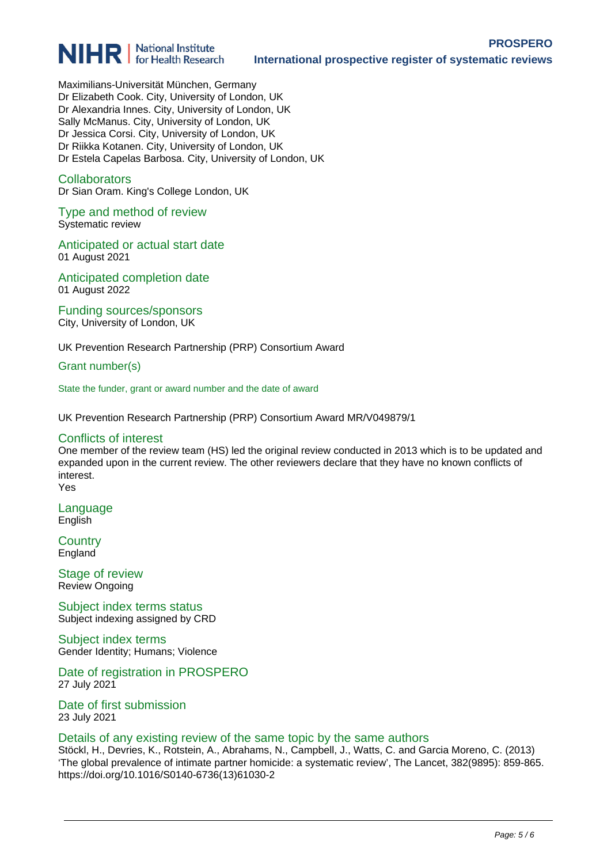

Maximilians-Universität München, Germany Dr Elizabeth Cook. City, University of London, UK Dr Alexandria Innes. City, University of London, UK Sally McManus. City, University of London, UK Dr Jessica Corsi. City, University of London, UK Dr Riikka Kotanen. City, University of London, UK Dr Estela Capelas Barbosa. City, University of London, UK

#### **Collaborators**

Dr Sian Oram. King's College London, UK

Type and method of review Systematic review

Anticipated or actual start date 01 August 2021

Anticipated completion date 01 August 2022

Funding sources/sponsors City, University of London, UK

UK Prevention Research Partnership (PRP) Consortium Award

Grant number(s)

State the funder, grant or award number and the date of award

UK Prevention Research Partnership (PRP) Consortium Award MR/V049879/1

#### Conflicts of interest

One member of the review team (HS) led the original review conducted in 2013 which is to be updated and expanded upon in the current review. The other reviewers declare that they have no known conflicts of interest. Yes

Language English

**Country England** 

Stage of review Review Ongoing

Subject index terms status Subject indexing assigned by CRD

Subject index terms Gender Identity; Humans; Violence

Date of registration in PROSPERO 27 July 2021

Date of first submission 23 July 2021

#### Details of any existing review of the same topic by the same authors

Stöckl, H., Devries, K., Rotstein, A., Abrahams, N., Campbell, J., Watts, C. and Garcia Moreno, C. (2013) 'The global prevalence of intimate partner homicide: a systematic review', The Lancet, 382(9895): 859-865. https://doi.org/10.1016/S0140-6736(13)61030-2